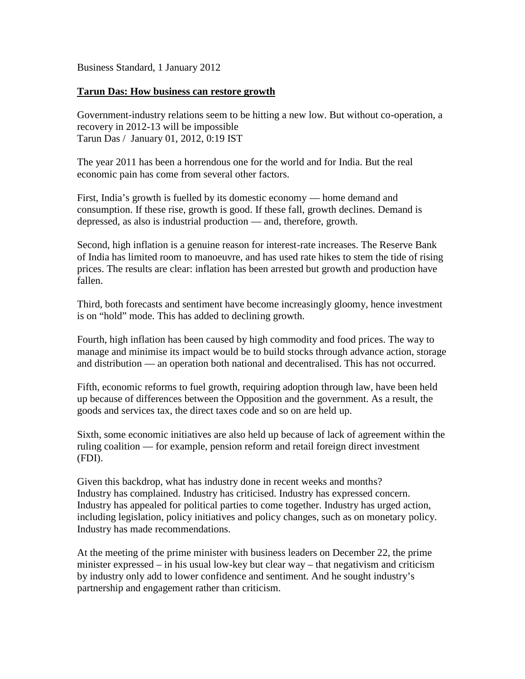Business Standard, 1 January 2012

## **Tarun Das: How business can restore growth**

Government-industry relations seem to be hitting a new low. But without co-operation, a recovery in 2012-13 will be impossible Tarun Das / January 01, 2012, 0:19 IST

The year 2011 has been a horrendous one for the world and for India. But the real economic pain has come from several other factors.

First, India's growth is fuelled by its domestic economy — home demand and consumption. If these rise, growth is good. If these fall, growth declines. Demand is depressed, as also is industrial production — and, therefore, growth.

Second, high inflation is a genuine reason for interest-rate increases. The Reserve Bank of India has limited room to manoeuvre, and has used rate hikes to stem the tide of rising prices. The results are clear: inflation has been arrested but growth and production have fallen.

Third, both forecasts and sentiment have become increasingly gloomy, hence investment is on "hold" mode. This has added to declining growth.

Fourth, high inflation has been caused by high commodity and food prices. The way to manage and minimise its impact would be to build stocks through advance action, storage and distribution — an operation both national and decentralised. This has not occurred.

Fifth, economic reforms to fuel growth, requiring adoption through law, have been held up because of differences between the Opposition and the government. As a result, the goods and services tax, the direct taxes code and so on are held up.

Sixth, some economic initiatives are also held up because of lack of agreement within the ruling coalition — for example, pension reform and retail foreign direct investment (FDI).

Given this backdrop, what has industry done in recent weeks and months? Industry has complained. Industry has criticised. Industry has expressed concern. Industry has appealed for political parties to come together. Industry has urged action, including legislation, policy initiatives and policy changes, such as on monetary policy. Industry has made recommendations.

At the meeting of the prime minister with business leaders on December 22, the prime minister expressed – in his usual low-key but clear way – that negativism and criticism by industry only add to lower confidence and sentiment. And he sought industry's partnership and engagement rather than criticism.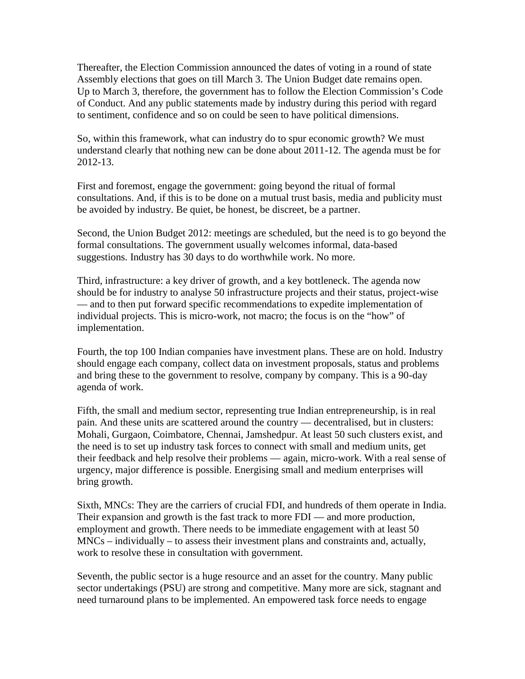Thereafter, the Election Commission announced the dates of voting in a round of state Assembly elections that goes on till March 3. The Union Budget date remains open. Up to March 3, therefore, the government has to follow the Election Commission's Code of Conduct. And any public statements made by industry during this period with regard to sentiment, confidence and so on could be seen to have political dimensions.

So, within this framework, what can industry do to spur economic growth? We must understand clearly that nothing new can be done about 2011-12. The agenda must be for 2012-13.

First and foremost, engage the government: going beyond the ritual of formal consultations. And, if this is to be done on a mutual trust basis, media and publicity must be avoided by industry. Be quiet, be honest, be discreet, be a partner.

Second, the Union Budget 2012: meetings are scheduled, but the need is to go beyond the formal consultations. The government usually welcomes informal, data-based suggestions. Industry has 30 days to do worthwhile work. No more.

Third, infrastructure: a key driver of growth, and a key bottleneck. The agenda now should be for industry to analyse 50 infrastructure projects and their status, project-wise — and to then put forward specific recommendations to expedite implementation of individual projects. This is micro-work, not macro; the focus is on the "how" of implementation.

Fourth, the top 100 Indian companies have investment plans. These are on hold. Industry should engage each company, collect data on investment proposals, status and problems and bring these to the government to resolve, company by company. This is a 90-day agenda of work.

Fifth, the small and medium sector, representing true Indian entrepreneurship, is in real pain. And these units are scattered around the country — decentralised, but in clusters: Mohali, Gurgaon, Coimbatore, Chennai, Jamshedpur. At least 50 such clusters exist, and the need is to set up industry task forces to connect with small and medium units, get their feedback and help resolve their problems — again, micro-work. With a real sense of urgency, major difference is possible. Energising small and medium enterprises will bring growth.

Sixth, MNCs: They are the carriers of crucial FDI, and hundreds of them operate in India. Their expansion and growth is the fast track to more FDI — and more production, employment and growth. There needs to be immediate engagement with at least 50 MNCs – individually – to assess their investment plans and constraints and, actually, work to resolve these in consultation with government.

Seventh, the public sector is a huge resource and an asset for the country. Many public sector undertakings (PSU) are strong and competitive. Many more are sick, stagnant and need turnaround plans to be implemented. An empowered task force needs to engage